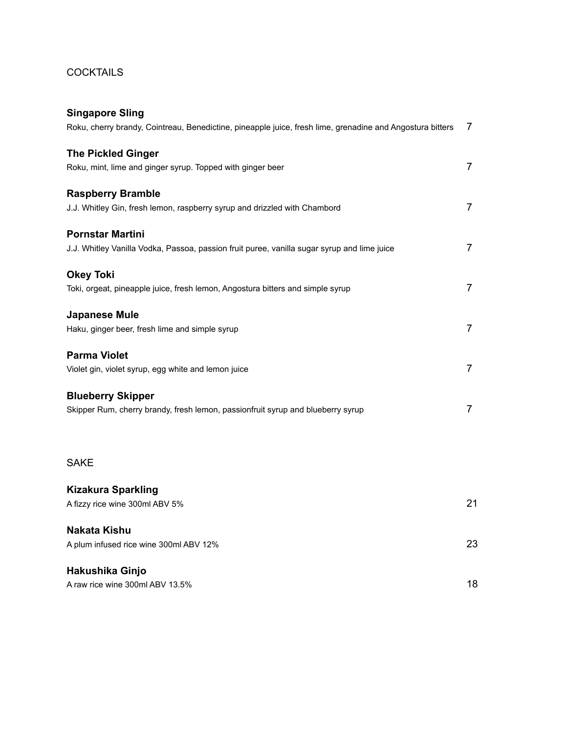## **COCKTAILS**

| <b>Singapore Sling</b>                                                                                    |    |
|-----------------------------------------------------------------------------------------------------------|----|
| Roku, cherry brandy, Cointreau, Benedictine, pineapple juice, fresh lime, grenadine and Angostura bitters | 7  |
| <b>The Pickled Ginger</b>                                                                                 |    |
| Roku, mint, lime and ginger syrup. Topped with ginger beer                                                | 7  |
|                                                                                                           |    |
| <b>Raspberry Bramble</b>                                                                                  |    |
| J.J. Whitley Gin, fresh lemon, raspberry syrup and drizzled with Chambord                                 | 7  |
|                                                                                                           |    |
| <b>Pornstar Martini</b>                                                                                   |    |
| J.J. Whitley Vanilla Vodka, Passoa, passion fruit puree, vanilla sugar syrup and lime juice               | 7  |
| <b>Okey Toki</b>                                                                                          |    |
| Toki, orgeat, pineapple juice, fresh lemon, Angostura bitters and simple syrup                            | 7  |
|                                                                                                           |    |
| <b>Japanese Mule</b>                                                                                      |    |
| Haku, ginger beer, fresh lime and simple syrup                                                            | 7  |
| <b>Parma Violet</b>                                                                                       |    |
| Violet gin, violet syrup, egg white and lemon juice                                                       | 7  |
|                                                                                                           |    |
| <b>Blueberry Skipper</b>                                                                                  |    |
| Skipper Rum, cherry brandy, fresh lemon, passionfruit syrup and blueberry syrup                           | 7  |
|                                                                                                           |    |
|                                                                                                           |    |
| <b>SAKE</b>                                                                                               |    |
|                                                                                                           |    |
| <b>Kizakura Sparkling</b>                                                                                 |    |
| A fizzy rice wine 300ml ABV 5%                                                                            | 21 |
| <b>Nakata Kishu</b>                                                                                       |    |
| A plum infused rice wine 300ml ABV 12%                                                                    | 23 |
|                                                                                                           |    |
| Hakushika Ginjo                                                                                           |    |
| A raw rice wine 300ml ABV 13.5%                                                                           | 18 |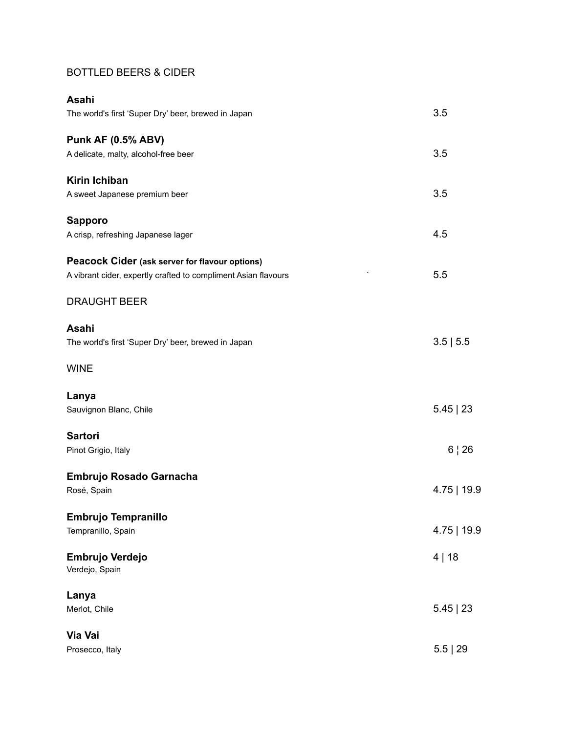## BOTTLED BEERS & CIDER

| Asahi                                                          |               |
|----------------------------------------------------------------|---------------|
| The world's first 'Super Dry' beer, brewed in Japan            | 3.5           |
| <b>Punk AF (0.5% ABV)</b>                                      |               |
| A delicate, malty, alcohol-free beer                           | 3.5           |
| <b>Kirin Ichiban</b>                                           |               |
| A sweet Japanese premium beer                                  | 3.5           |
| <b>Sapporo</b>                                                 |               |
| A crisp, refreshing Japanese lager                             | 4.5           |
| Peacock Cider (ask server for flavour options)                 |               |
| A vibrant cider, expertly crafted to compliment Asian flavours | 5.5           |
| <b>DRAUGHT BEER</b>                                            |               |
| Asahi                                                          |               |
| The world's first 'Super Dry' beer, brewed in Japan            | 3.5 5.5       |
| <b>WINE</b>                                                    |               |
| Lanya                                                          |               |
| Sauvignon Blanc, Chile                                         | $5.45$   23   |
| <b>Sartori</b>                                                 |               |
| Pinot Grigio, Italy                                            | 6   26        |
| Embrujo Rosado Garnacha                                        |               |
| Rosé, Spain                                                    | $4.75$   19.9 |
| <b>Embrujo Tempranillo</b>                                     |               |
| Tempranillo, Spain                                             | $4.75$   19.9 |
| Embrujo Verdejo<br>Verdejo, Spain                              | 4 18          |
| Lanya                                                          |               |
| Merlot, Chile                                                  | $5.45$   23   |
| Via Vai                                                        |               |
| Prosecco, Italy                                                | 5.5   29      |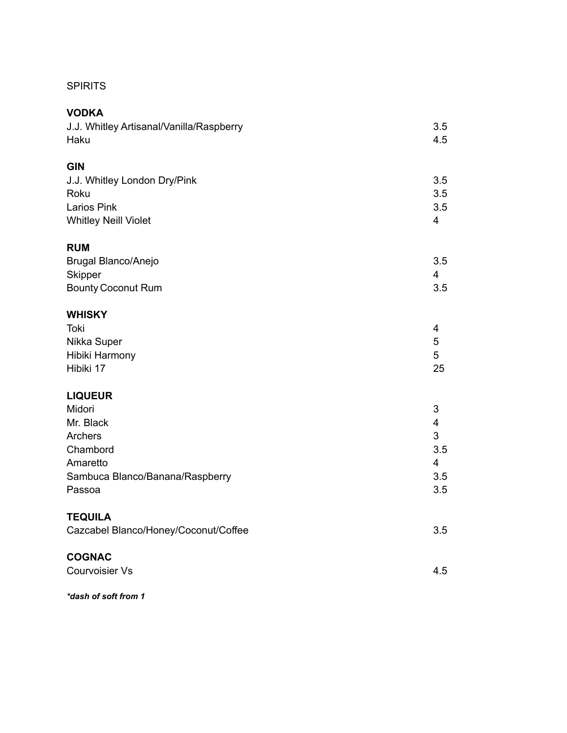## SPIRITS

| <b>VODKA</b>                             |                         |
|------------------------------------------|-------------------------|
| J.J. Whitley Artisanal/Vanilla/Raspberry | 3.5                     |
| Haku                                     | 4.5                     |
|                                          |                         |
| <b>GIN</b>                               |                         |
| J.J. Whitley London Dry/Pink             | 3.5                     |
| Roku                                     | 3.5                     |
| <b>Larios Pink</b>                       | 3.5                     |
| <b>Whitley Neill Violet</b>              | $\overline{4}$          |
|                                          |                         |
| <b>RUM</b>                               |                         |
| Brugal Blanco/Anejo                      | 3.5                     |
| Skipper                                  | 4                       |
| <b>Bounty Coconut Rum</b>                | 3.5                     |
|                                          |                         |
| <b>WHISKY</b>                            |                         |
| Toki                                     | 4                       |
| Nikka Super                              | 5                       |
| Hibiki Harmony                           | 5                       |
| Hibiki 17                                | 25                      |
|                                          |                         |
| <b>LIQUEUR</b>                           |                         |
| Midori                                   | 3                       |
| Mr. Black                                | $\overline{\mathbf{4}}$ |
| Archers                                  | 3                       |
| Chambord                                 | 3.5                     |
| Amaretto                                 | 4                       |
| Sambuca Blanco/Banana/Raspberry          | 3.5                     |
| Passoa                                   | 3.5                     |
|                                          |                         |
| <b>TEQUILA</b>                           |                         |
| Cazcabel Blanco/Honey/Coconut/Coffee     | 3.5                     |
|                                          |                         |
| <b>COGNAC</b>                            |                         |
| <b>Courvoisier Vs</b>                    | 4.5                     |
|                                          |                         |

*\*dash of soft from 1*